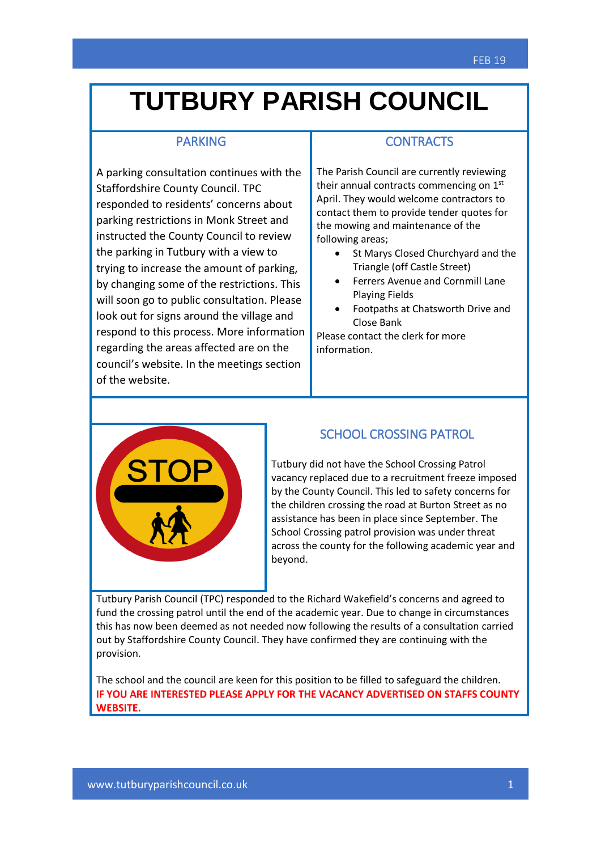## **TUTBURY PARISH COUNCIL**

#### PARKING

A parking consultation continues with the Staffordshire County Council. TPC responded to residents' concerns about parking restrictions in Monk Street and instructed the County Council to review the parking in Tutbury with a view to trying to increase the amount of parking, by changing some of the restrictions. This will soon go to public consultation. Please look out for signs around the village and respond to this process. More information regarding the areas affected are on the council's website. In the meetings section of the website.

### **CONTRACTS**

The Parish Council are currently reviewing their annual contracts commencing on  $1<sup>st</sup>$ April. They would welcome contractors to contact them to provide tender quotes for the mowing and maintenance of the following areas;

- St Marys Closed Churchyard and the Triangle (off Castle Street)
- Ferrers Avenue and Cornmill Lane Playing Fields
- Footpaths at Chatsworth Drive and Close Bank

Please contact the clerk for more information.



#### SCHOOL CROSSING PATROL

Tutbury did not have the School Crossing Patrol vacancy replaced due to a recruitment freeze imposed by the County Council. This led to safety concerns for the children crossing the road at Burton Street as no assistance has been in place since September. The School Crossing patrol provision was under threat across the county for the following academic year and beyond.

Tutbury Parish Council (TPC) responded to the Richard Wakefield's concerns and agreed to fund the crossing patrol until the end of the academic year. Due to change in circumstances this has now been deemed as not needed now following the results of a consultation carried out by Staffordshire County Council. They have confirmed they are continuing with the provision.

The school and the council are keen for this position to be filled to safeguard the children.IF YOU ARE INTERESTED PLEASE APPLY FOR THE VACANCY ADVERTISED ON STAFFS COUNTY **WEBSITE.**